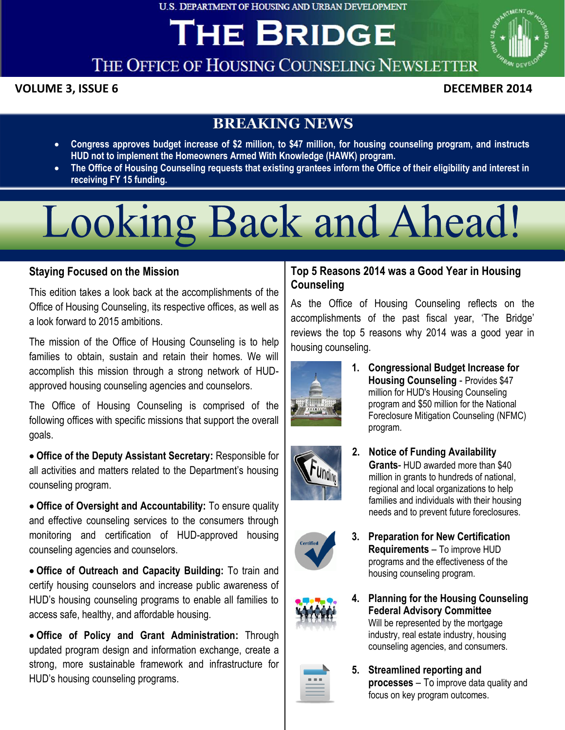**U.S. DEPARTMENT OF HOUSING AND URBAN DEVELOPMENT** 

## **THE BRIDGE**



### THE OFFICE OF HOUSING COUNSELING NEWSLETTER

#### **POLUME 3, ISSUE 6 The Office of Housing Counseling Office of Arthur DECEMBER 2014**

#### **BREAKING NEWS**

- **Congress approves budget increase of \$2 million, to \$47 million, for housing counseling program, and instructs HUD not to implement the Homeowners Armed With Knowledge (HAWK) program.**
- **The Office of Housing Counseling requests that existing grantees inform the Office of their eligibility and interest in receiving FY 15 funding.**

# Looking Back and Ahead!

#### **Staying Focused on the Mission Looking Back and Ahead!**

 This edition takes a look back at the accomplishments of the Office of Housing Counseling, its respective offices, as well as a look forward to 2015 ambitions.

 The mission of the Office of Housing Counseling is to help families to obtain, sustain and retain their homes. We will accomplish this mission through a strong network of HUDapproved housing counseling agencies and counselors.

 The Office of Housing Counseling is comprised of the following offices with specific missions that support the overall goals.

 all activities and matters related to the Department's housing **Office of the Deputy Assistant Secretary:** Responsible for counseling program.

 **Office of Oversight and Accountability:** To ensure quality and effective counseling services to the consumers through monitoring and certification of HUD-approved housing counseling agencies and counselors.

 **Office of Outreach and Capacity Building:** To train and certify housing counselors and increase public awareness of HUD's housing counseling programs to enable all families to access safe, healthy, and affordable housing.

 **Office of Policy and Grant Administration:** Through updated program design and information exchange, create a strong, more sustainable framework and infrastructure for HUD's housing counseling programs.

#### **Top 5 Reasons 2014 was a Good Year in Housing Counseling**

 As the Office of Housing Counseling reflects on the accomplishments of the past fiscal year, 'The Bridge' reviews the top 5 reasons why 2014 was a good year in housing counseling.



 **Housing Counseling** - Provides \$47 **1. Congressional Budget Increase for** million for HUD's Housing Counseling program and \$50 million for the National Foreclosure Mitigation Counseling (NFMC) program.



**2. Notice of Funding Availability Grants**- HUD awarded more than \$40 million in grants to hundreds of national, regional and local organizations to help families and individuals with their housing needs and to prevent future foreclosures.



 **Requirements** – To improve HUD **3. Preparation for New Certification** programs and the effectiveness of the housing counseling program.



**4. Planning for the Housing Counseling Federal Advisory Committee** Will be represented by the mortgage industry, real estate industry, housing counseling agencies, and consumers.



**5. Streamlined reporting and processes** – To improve data quality and focus on key program outcomes.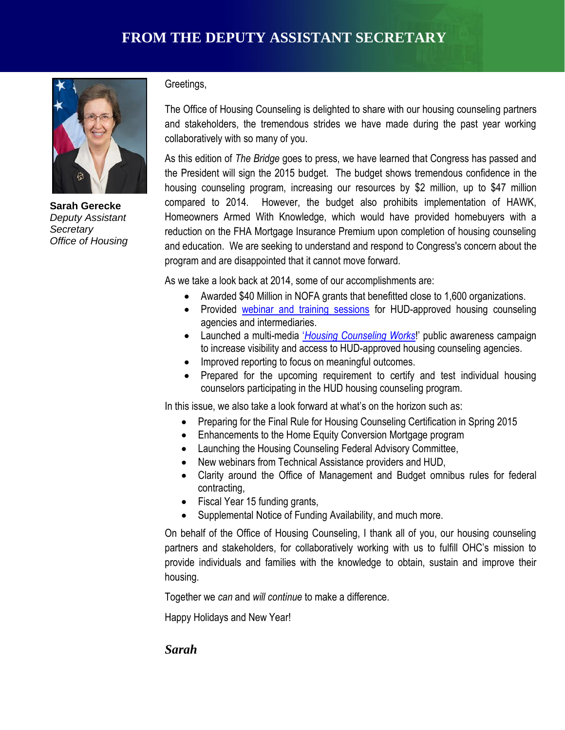

 **Sarah Gerecke**   *Office of Housing Deputy Assistant Secretary* 

Greetings,

 The Office of Housing Counseling is delighted to share with our housing counseling partners and stakeholders, the tremendous strides we have made during the past year working collaboratively with so many of you.

 As this edition of *The Bridge* goes to press, we have learned that Congress has passed and the President will sign the 2015 budget. The budget shows tremendous confidence in the housing counseling program, increasing our resources by \$2 million, up to \$47 million compared to 2014. Homeowners Armed With Knowledge, which would have provided homebuyers with a reduction on the FHA Mortgage Insurance Premium upon completion of housing counseling and education. We are seeking to understand and respond to Congress's concern about the program and are disappointed that it cannot move forward. However, the budget also prohibits implementation of HAWK,

As we take a look back at 2014, some of our accomplishments are:

- Awarded \$40 Million in NOFA grants that benefitted close to 1,600 organizations.
- Provided **webinar and training sessions** for HUD-approved housing counseling agencies and intermediaries.
- Launched a multi-media '*[Housing Counseling Works](https://www.youtube.com/watch?v=In_1bZHigJQ)*!' public awareness campaign to increase visibility and access to HUD-approved housing counseling agencies.
- **•** Improved reporting to focus on meaningful outcomes.
	- Prepared for the upcoming requirement to certify and test individual housing counselors participating in the HUD housing counseling program.

In this issue, we also take a look forward at what's on the horizon such as:

- Preparing for the Final Rule for Housing Counseling Certification in Spring 2015
- Enhancements to the Home Equity Conversion Mortgage program
- Launching the Housing Counseling Federal Advisory Committee,
- New webinars from Technical Assistance providers and HUD,
- Clarity around the Office of Management and Budget omnibus rules for federal contracting,
- Fiscal Year 15 funding grants,
- Supplemental Notice of Funding Availability, and much more.

 On behalf of the Office of Housing Counseling, I thank all of you, our housing counseling partners and stakeholders, for collaboratively working with us to fulfill OHC's mission to provide individuals and families with the knowledge to obtain, sustain and improve their housing.

Together we *can* and *will continue* to make a difference.

Happy Holidays and New Year!

#### *Sarah*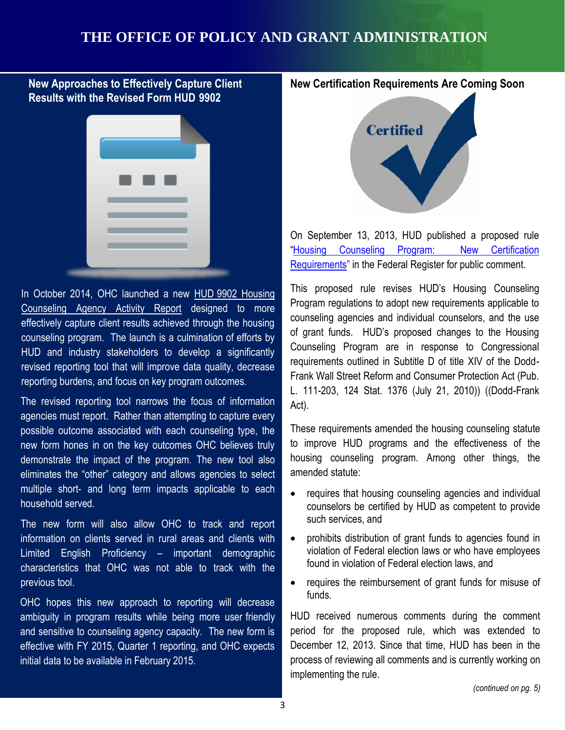#### **THE OFFICE OF POLICY AND GRANT ADMINISTRATION**

#### **New Approaches to Effectively Capture Client - Results with the Revised Form HUD 9902**



rice and made y statements to develop a signment of requirements outlined in S In October 2014, OHC launched a new HUD 9902 Housing [Counseling Agency Activity Report](http://portal.hud.gov/hudportal/HUD?src=/program_offices/housing/sfh/hcc/OHC_CMS1415a) designed to more effectively capture client results achieved through the housing counseling program. The launch is a culmination of efforts by HUD and industry stakeholders to develop a significantly reporting burdens, and focus on key program outcomes.

 The revised reporting tool narrows the focus of information agencies must report. Rather than attempting to capture every possible outcome associated with each counseling type, the new form hones in on the key outcomes OHC believes truly demonstrate the impact of the program. The new tool also " eliminates the "other" category and allows agencies to select multiple short- and long term impacts applicable to each household served.

 The new form will also allow OHC to track and report information on clients served in rural areas and clients with – Limited English Proficiency – important demographic characteristics that OHC was not able to track with the previous tool.

 OHC hopes this new approach to reporting will decrease ambiguity in program results while being more user friendly and sensitive to counseling agency capacity. The new form is effective with FY 2015, Quarter 1 reporting, and OHC expects initial data to be available in February 2015.

#### **New Certification Requirements Are Coming Soon**



 On September 13, 2013, HUD published a proposed rule Requirements" in the Federal Register for public comment. <u>Requirements</u>" in the Federal Register for public comment.<br>This proposed rule revises HUD's Housing Counseling "[Housing Counseling Program: New Certification](https://www.federalregister.gov/articles/2013/09/13/2013-22229/housing-counseling-program-new-certification-requirements) 

 Program regulations to adopt new requirements applicable to counseling agencies and individual counselors, and the use of grant funds. HUD's proposed changes to the Housing Counseling Program are in response to Congressional requirements outlined in Subtitle D of title XIV of the Dodd- Frank Wall Street Reform and Consumer Protection Act (Pub. L. 111-203, 124 Stat. 1376 (July 21, 2010)) ((Dodd-Frank Act).

 These requirements amended the housing counseling statute to improve HUD programs and the effectiveness of the housing counseling program. Among other things, the amended statute:

- requires that housing counseling agencies and individual counselors be certified by HUD as competent to provide such services, and
- violation of Federal election laws or who have employees found in violation of Federal election laws, and prohibits distribution of grant funds to agencies found in
- requires the reimbursement of grant funds for misuse of funds.

 HUD received numerous comments during the comment period for the proposed rule, which was extended to December 12, 2013. Since that time, HUD has been in the process of reviewing all comments and is currently working on implementing the rule.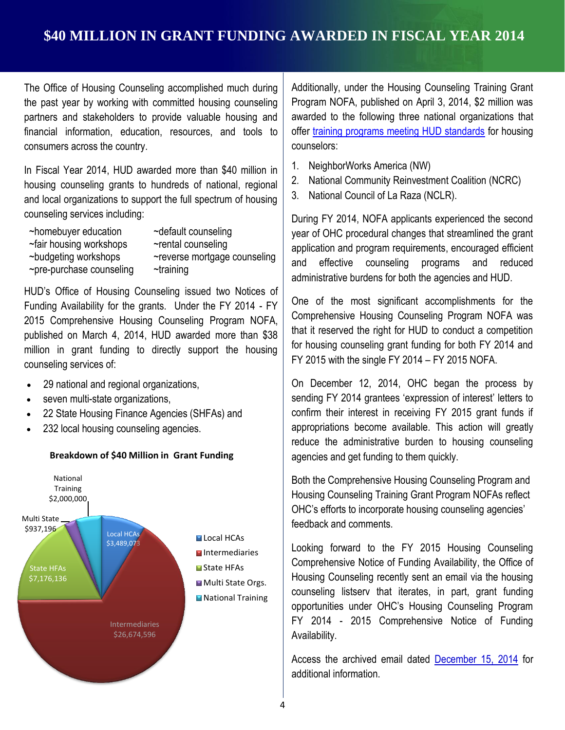#### **\$40 MILLION IN GRANT FUNDING AWARDED IN FISCAL YEAR 2014**

 The Office of Housing Counseling accomplished much during the past year by working with committed housing counseling partners and stakeholders to provide valuable housing and financial information, education, resources, and tools to consumers across the country.

 In Fiscal Year 2014, HUD awarded more than \$40 million in housing counseling grants to hundreds of national, regional and local organizations to support the full spectrum of housing counseling services including:

- ~homebuyer education
- 
- 
- ~rental counseling
- ~pre-purchase counseling ~budgeting workshops
- ~homebuyer education ~fair housing workshops ~pre-purchase counseling ~default counseling ~reverse mortgage counseling ~training

 HUD's Office of Housing Counseling issued two Notices of Funding Availability for the grants. Under the FY 2014 - FY 2015 Comprehensive Housing Counseling Program NOFA, published on March 4, 2014, HUD awarded more than \$38 million in grant funding to directly support the housing counseling services of:

- 29 national and regional organizations,
- seven multi-state organizations,
- 22 State Housing Finance Agencies (SHFAs) and
- 232 local housing counseling agencies.



 Additionally, under the Housing Counseling Training Grant Program NOFA, published on April 3, 2014, \$2 million was awarded to the following three national organizations that offer [training programs meeting HUD standards](http://portal.hud.gov/hudportal/HUD?src=/program_offices/housing/sfh/hcc/ohc_training) for housing counselors:

- 1. NeighborWorks America (NW)
- 2. National Community Reinvestment Coalition (NCRC)
- 3. National Council of La Raza (NCLR).

 During FY 2014, NOFA applicants experienced the second year of OHC procedural changes that streamlined the grant application and program requirements, encouraged efficient and effective counseling programs and reduced administrative burdens for both the agencies and HUD.

 $\begin{array}{c|c} \text{C} & \text{C} \\ \text{C} & \text{C} \end{array}$  FY 2015 with the single FY 2014 – FY 2015 NOFA. One of the most significant accomplishments for the Comprehensive Housing Counseling Program NOFA was that it reserved the right for HUD to conduct a competition for housing counseling grant funding for both FY 2014 and

> On December 12, 2014, OHC began the process by sending FY 2014 grantees 'expression of interest' letters to confirm their interest in receiving FY 2015 grant funds if appropriations become available. This action will greatly reduce the administrative burden to housing counseling agencies and get funding to them quickly.

 Both the Comprehensive Housing Counseling Program and Housing Counseling Training Grant Program NOFAs reflect OHC's efforts to incorporate housing counseling agencies' feedback and comments.

 Looking forward to the FY 2015 Housing Counseling Comprehensive Notice of Funding Availability, the Office of Housing Counseling recently sent an email via the housing opportunities under OHC's Housing Counseling Program FY 2014 - 2015 Comprehensive Notice of Funding Availability. counseling listserv that iterates, in part, grant funding

Access the archived email dated **December 15, 2014** for additional information.

#### **Breakdown of \$40 Million in Grant Funding**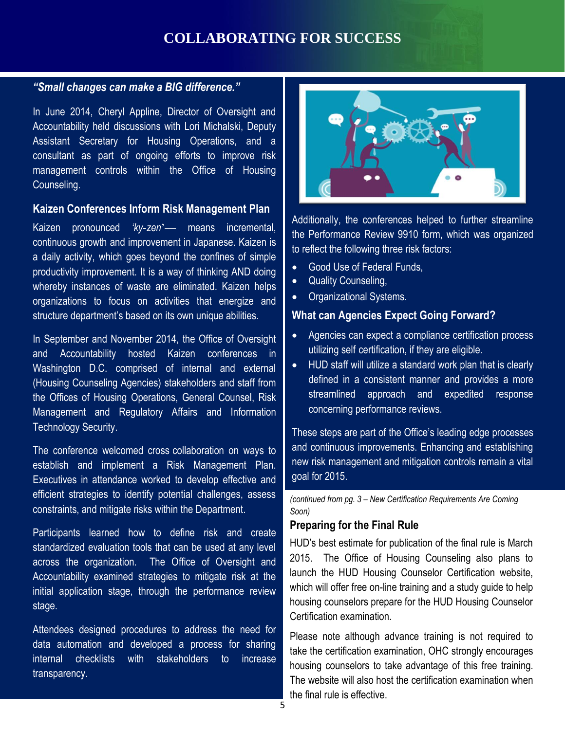#### **COLLABORATING FOR SUCCESS**

#### *"Small changes can make a BIG difference."*

 In June 2014, Cheryl Appline, Director of Oversight and Accountability held discussions with Lori Michalski, Deputy Assistant Secretary for Housing Operations, and a consultant as part of ongoing efforts to improve risk management controls within the Office of Housing Counseling.

#### **Kaizen Conferences Inform Risk Management Plan**

 continuous growth and improvement in Japanese. Kaizen is a daily activity, which goes beyond the confines of simple productivity improvement. It is a way of thinking AND doing whereby instances of waste are eliminated. Kaizen helps organizations to focus on activities that energize and Kaizen pronounced 'ky-zen'— means incremental, structure department's based on its own unique abilities.

and Accountability nosted Kaizen comerences in<br>Washington D.C. comprised of internal and external In September and November 2014, the Office of Oversight and Accountability hosted Kaizen conferences in (Housing Counseling Agencies) stakeholders and staff from the Offices of Housing Operations, General Counsel, Risk Management and Regulatory Affairs and Information Technology Security.

The conference welcomed cross collaboration on ways to establish and implement a Risk Management Plan. Executives in attendance worked to develop effective and efficient strategies to identify potential challenges, assess constraints, and mitigate risks within the Department.

 Participants learned how to define risk and create standardized evaluation tools that can be used at any level across the organization. The Office of Oversight and Accountability examined strategies to mitigate risk at the initial application stage, through the performance review stage.

 Attendees designed procedures to address the need for data automation and developed a process for sharing to internal checklists with stakeholders to increase transparency.



 Additionally, the conferences helped to further streamline the Performance Review 9910 form, which was organized to reflect the following three risk factors:

- Good Use of Federal Funds,
- Quality Counseling,
- Organizational Systems.

#### **What can Agencies Expect Going Forward?**

- Agencies can expect a compliance certification process utilizing self certification, if they are eligible.
- <sup>11</sup> HUD staff will utilize a standard work plan that is clearly defined in a consistent manner and provides a more streamlined approach and expedited response concerning performance reviews.

 These steps are part of the Office's leading edge processes and continuous improvements. Enhancing and establishing new risk management and mitigation controls remain a vital goal for 2015.

 *(continued from pg. 3 – New Certification Requirements Are Coming Soon)* 

#### **Preparing for the Final Rule**

 HUD's best estimate for publication of the final rule is March 2015. The Office of Housing Counseling also plans to launch the HUD Housing Counselor Certification website, which will offer free on-line training and a study guide to help housing counselors prepare for the HUD Housing Counselor Certification examination.

 Please note although advance training is not required to take the certification examination, OHC strongly encourages housing counselors to take advantage of this free training. The website will also host the certification examination when the final rule is effective.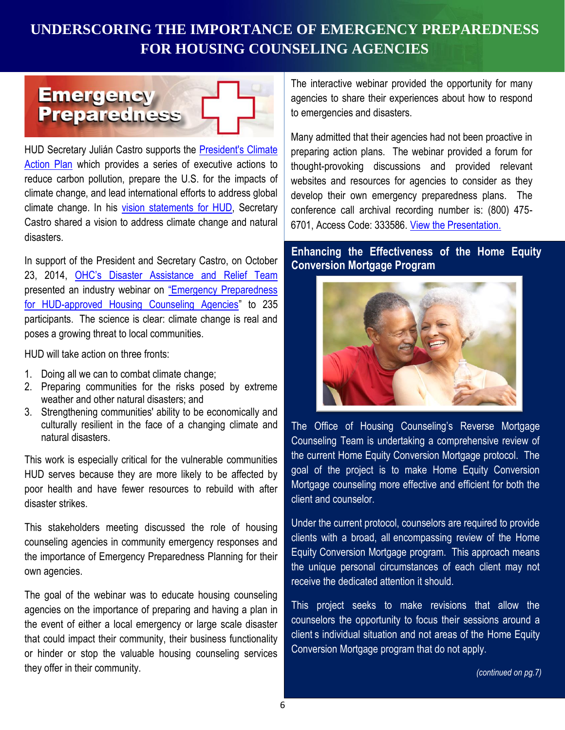#### **FOR HOUSING COUNSELING AGENCIES UNDERSCORING THE IMPORTANCE OF EMERGENCY PREPAREDNESS**



HUD Secretary Julián Castro supports the **President's Climate** [Action Plan](http://www.whitehouse.gov/sites/default/files/image/president27sclimateactionplan.pdf) which provides a series of executive actions to reduce carbon pollution, prepare the U.S. for the impacts of climate change, and lead international efforts to address global Castro shared a vision to address climate change and natural climate change. In his [vision statements for HUD,](http://portal.hud.gov/hudportal/HUD?src=/hudvision) Secretary disasters.

 In support of the President and Secretary Castro, on October 23, 2014, OHC's Disaster Assistance and Relief Team presented an industry webinar on "Emergency Preparedness [for HUD-approved Housing Counseling Agencies](http://portal.hud.gov/hudportal/documents/huddoc?id=OHC_EPP102114.pdf)" to 235 participants. The science is clear: climate change is real and poses a growing threat to local communities. HUD will take action on three fronts:

HUD will take action on three fronts:

- 1. Doing all we can to combat climate change;
- 2. Preparing communities for the risks posed by extreme weather and other natural disasters; and
- 3. Strengthening communities' ability to be economically and culturally resilient in the face of a changing climate and natural disasters.

 HUD serves because they are more likely to be affected by poor health and have fewer resources to rebuild with after This work is especially critical for the vulnerable communities disaster strikes.

 This stakeholders meeting discussed the role of housing the importance of Emergency Preparedness Planning for their counseling agencies in community emergency responses and own agencies.

 The goal of the webinar was to educate housing counseling agencies on the importance of preparing and having a plan in or hinder or stop the valuable housing counseling services the event of either a local emergency or large scale disaster that could impact their community, their business functionality they offer in their community.

 The interactive webinar provided the opportunity for many agencies to share their experiences about how to respond to emergencies and disasters.

 Many admitted that their agencies had not been proactive in preparing action plans. The webinar provided a forum for thought-provoking discussions and provided relevant develop their own emergency preparedness plans. The conference call archival recording number is: (800) 475 websites and resources for agencies to consider as they 6701, Access Code: 333586. [View the Presentation.](http://portal.hud.gov/hudportal/documents/huddoc?id=OHC_EPP102114.pdf)

#### **Enhancing the Effectiveness of the Home Equity Conversion Mortgage Program**



 The Office of Housing Counseling's Reverse Mortgage Counseling Team is undertaking a comprehensive review of the current Home Equity Conversion Mortgage protocol. The goal of the project is to make Home Equity Conversion Mortgage counseling more effective and efficient for both the client and counselor.

clients with a broad, all encompassing review of the Home Equity Conversion Mortgage program. This approach means the unique personal circumstances of each client may not receive the dedicated attention it should. Under the current protocol, counselors are required to provide receive the dedicated attention it should. This project seeks to make revisions that allow the

 counselors the opportunity to focus their sessions around a client s individual situation and not areas of the Home Equity Conversion Mortgage program that do not apply.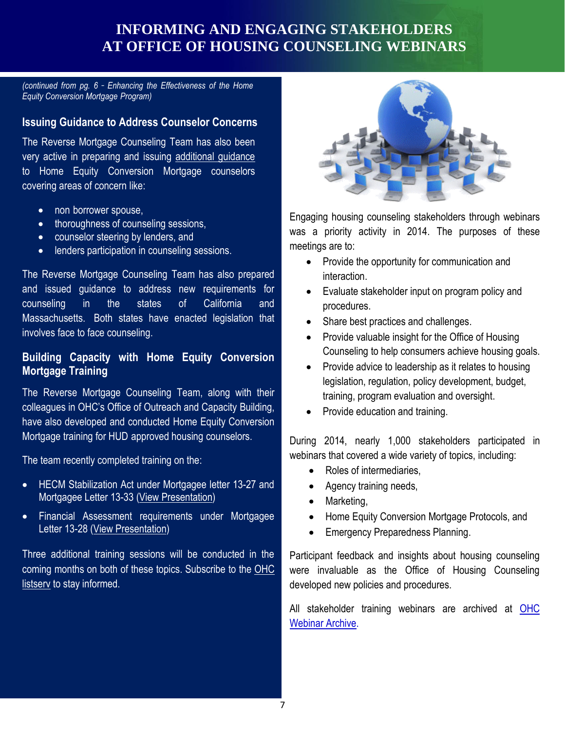#### **INFORMING AND ENGAGING STAKEHOLDERS AT OFFICE OF HOUSING COUNSELING WEBINARS**

*- (continued from pg. 6 Enhancing the Effectiveness of the Home*  - *Equity Conversion Mortgage Program)* 

#### **Issuing Guidance to Address Counselor Concerns**

 The Reverse Mortgage Counseling Team has also been very active in preparing and issuing additional guidance covering areas of concern like: to Home Equity Conversion Mortgage counselors

- non borrower spouse,
- thoroughness of counseling sessions,
- counselor steering by lenders, and
- **.** lenders participation in counseling sessions.

 and issued guidance to address new requirements for counseling in the states of California and Massachusetts. Both states have enacted legislation that The Reverse Mortgage Counseling Team has also prepared involves face to face counseling.

#### **Building Capacity with Home Equity Conversion Mortgage Training**

 The Reverse Mortgage Counseling Team, along with their colleagues in OHC's Office of Outreach and Capacity Building, have also developed and conducted Home Equity Conversion Mortgage training for HUD approved housing counselors.

The team recently completed training on the:

- HECM Stabilization Act under Mortgagee letter 13-27 and Mortgagee Letter 13-33 [\(View Presentation\)](http://portal.hud.gov/hudportal/documents/huddoc?id=OHC_HECMJRO111413.pdf)
- Letter 13-28 [\(View Presentation\)](http://portal.hud.gov/hudportal/documents/huddoc?id=OHC_HCA012814.pdf) Financial Assessment requirements under Mortgagee

 Three additional training sessions will be conducted in the coming months on both of these topics. Subscribe to the OHC [listserv](http://portal.hud.gov/hudportal/HUD?src=/program_offices/housing/sfh/hcc/ohc_listserv) to stay informed.



 Engaging housing counseling stakeholders through webinars was a priority activity in 2014. The purposes of these meetings are to:

- Provide the opportunity for communication and interaction.
- procedures. Evaluate stakeholder input on program policy and
- Share best practices and challenges.
- Provide valuable insight for the Office of Housing Counseling to help consumers achieve housing goals.
- **Source the Service of Service Service Service Service Service Service Service Service Service Service Service S**  training, program evaluation and oversight. legislation, regulation, policy development, budget,
	- Provide education and training.

 During 2014, nearly 1,000 stakeholders participated in webinars that covered a wide variety of topics, including:

- Roles of intermediaries,
- Agency training needs,
- Marketing,
- Home Equity Conversion Mortgage Protocols, and
- **Emergency Preparedness Planning.**

 Participant feedback and insights about housing counseling were invaluable as the Office of Housing Counseling developed new policies and procedures.

All stakeholder training webinars are archived at OHC [Webinar Archive.](http://portal.hud.gov/hudportal/HUD?src=/program_offices/housing/sfh/hcc/OHC_TRAINARC)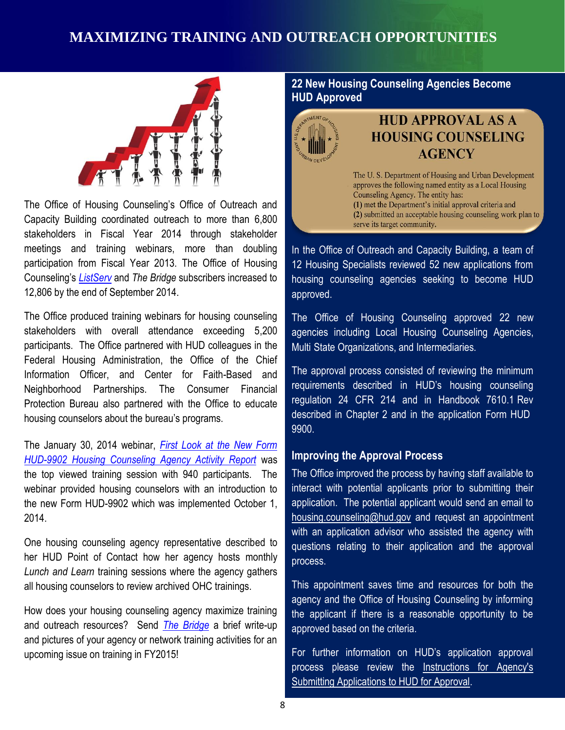#### **MAXIMIZING TRAINING AND OUTREACH OPPORTUNITIES**



 The Office of Housing Counseling's Office of Outreach and Capacity Building coordinated outreach to more than 6,800 stakeholders in Fiscal Year 2014 through stakeholder meetings and training webinars, more than doubling participation from Fiscal Year 2013. The Office of Housing Counseling's *[ListServ](http://portal.hud.gov/hudportal/HUD?src=/program_offices/housing/sfh/hcc/OHC_MSGFY15)* and *The Bridge* subscribers increased to 12,806 by the end of September 2014.

Federal Housing Administration, the Office of the Chief<br> **Fail Digital The annoyal process contract the Chief**  The Office produced training webinars for housing counseling stakeholders with overall attendance exceeding 5,200 participants. The Office partnered with HUD colleagues in the Information Officer, and Center for Faith-Based and Neighborhood Partnerships. The Consumer Financial Protection Bureau also partnered with the Office to educate housing counselors about the bureau's programs.

 The January 30, 2014 webinar, *[First Look at the New Form](http://portal.hud.gov/hudportal/documents/huddoc?id=OHC_9902013014.pdf)  [HUD-9902 Housing Counseling Agency Activity Report](http://portal.hud.gov/hudportal/documents/huddoc?id=OHC_9902013014.pdf)* was the top viewed training session with 940 participants. The webinar provided housing counselors with an introduction to the new Form HUD-9902 which was implemented October 1, 2014.

 One housing counseling agency representative described to her HUD Point of Contact how her agency hosts monthly Lunch and Learn training sessions where the agency gathers all housing counselors to review archived OHC trainings.

 How does your housing counseling agency maximize training and outreach resources? Send *[The Bridge](mailto:thebridge@hud.gov)* a brief write-up and pictures of your agency or network training activities for an upcoming issue on training in FY2015!

#### **22 New Housing Counseling Agencies Become - HUD Approved**



#### **HUD APPROVAL AS A HOUSING COUNSELING AGENCY**

The U.S. Department of Housing and Urban Development approves the following named entity as a Local Housing Counseling Agency. The entity has: (1) met the Department's initial approval criteria and (2) submitted an acceptable housing counseling work plan to serve its target community.

 In the Office of Outreach and Capacity Building, a team of 12 Housing Specialists reviewed 52 new applications from housing counseling agencies seeking to become HUD approved.

 The Office of Housing Counseling approved 22 new agencies including Local Housing Counseling Agencies, Multi State Organizations, and Intermediaries.

 The approval process consisted of reviewing the minimum requirements described in HUD's housing counseling regulation 24 CFR 214 and in Handbook 7610.1 Rev described in Chapter 2 and in the application Form HUD - 9900.

#### **Improving the Approval Process**

 The Office improved the process by having staff available to interact with potential applicants prior to submitting their application. The potential applicant would send an email to  [housing.counseling@hud.gov](mailto:housing.counseling@hud.gov) and request an appointment with an application advisor who assisted the agency with questions relating to their application and the approval process.

 This appointment saves time and resources for both the agency and the Office of Housing Counseling by informing the applicant if there is a reasonable opportunity to be approved based on the criteria.

process please review the Instructions for Agency's For further information on HUD's application approval [Submitting Applications to HUD for Approval.](http://portal.hud.gov/hudportal/HUD?src=/program_offices/housing/sfh/hcc/OHC_NEWAPP2)